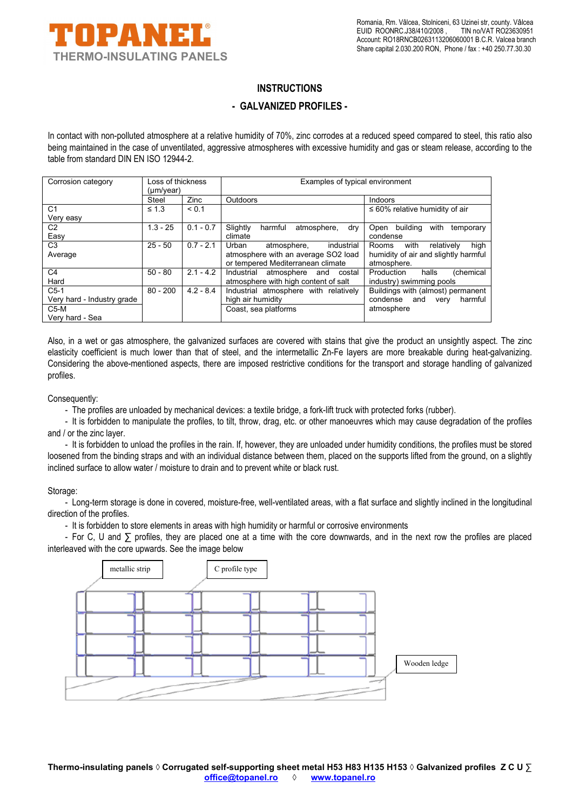

## **INSTRUCTIONS**

## **- GALVANIZED PROFILES -**

In contact with non-polluted atmosphere at a relative humidity of 70%, zinc corrodes at a reduced speed compared to steel, this ratio also being maintained in the case of unventilated, aggressive atmospheres with excessive humidity and gas or steam release, according to the table from standard DIN EN ISO 12944-2.

| Corrosion category         | Loss of thickness<br>$(\mu m/year)$ |             | Examples of typical environment           |                                       |
|----------------------------|-------------------------------------|-------------|-------------------------------------------|---------------------------------------|
|                            | Steel                               | Zinc        | <b>Outdoors</b>                           | Indoors                               |
| C <sub>1</sub>             | $\leq 1.3$                          | < 0.1       |                                           | $\leq 60\%$ relative humidity of air  |
| Very easy                  |                                     |             |                                           |                                       |
| C <sub>2</sub>             | $1.3 - 25$                          | $0.1 - 0.7$ | Slightly<br>harmful<br>atmosphere,<br>dry | building<br>with<br>Open<br>temporary |
| Easy                       |                                     |             | climate                                   | condense                              |
| C <sub>3</sub>             | $25 - 50$                           | $0.7 - 2.1$ | Urban<br>atmosphere,<br>industrial        | high<br>relatively<br>with<br>Rooms   |
| Average                    |                                     |             | atmosphere with an average SO2 load       | humidity of air and slightly harmful  |
|                            |                                     |             | or tempered Mediterranean climate         | atmosphere.                           |
| C <sub>4</sub>             | $50 - 80$                           | $2.1 - 4.2$ | Industrial<br>atmosphere<br>costal<br>and | (chemical<br>Production<br>halls      |
| Hard                       |                                     |             | atmosphere with high content of salt      | industry) swimming pools              |
| $C5-1$                     | $80 - 200$                          | $4.2 - 8.4$ | Industrial atmosphere with relatively     | Buildings with (almost) permanent     |
| Very hard - Industry grade |                                     |             | high air humidity                         | harmful<br>condense<br>and<br>very    |
| $C5-M$                     |                                     |             | Coast, sea platforms                      | atmosphere                            |
| Very hard - Sea            |                                     |             |                                           |                                       |

Also, in a wet or gas atmosphere, the galvanized surfaces are covered with stains that give the product an unsightly aspect. The zinc elasticity coefficient is much lower than that of steel, and the intermetallic Zn-Fe layers are more breakable during heat-galvanizing. Considering the above-mentioned aspects, there are imposed restrictive conditions for the transport and storage handling of galvanized profiles.

Consequently:

- The profiles are unloaded by mechanical devices: a textile bridge, a fork-lift truck with protected forks (rubber).

- It is forbidden to manipulate the profiles, to tilt, throw, drag, etc. or other manoeuvres which may cause degradation of the profiles and / or the zinc layer.

- It is forbidden to unload the profiles in the rain. If, however, they are unloaded under humidity conditions, the profiles must be stored loosened from the binding straps and with an individual distance between them, placed on the supports lifted from the ground, on a slightly inclined surface to allow water / moisture to drain and to prevent white or black rust.

## Storage:

- Long-term storage is done in covered, moisture-free, well-ventilated areas, with a flat surface and slightly inclined in the longitudinal direction of the profiles.

- It is forbidden to store elements in areas with high humidity or harmful or corrosive environments

- For C, U and ∑ profiles, they are placed one at a time with the core downwards, and in the next row the profiles are placed interleaved with the core upwards. See the image below